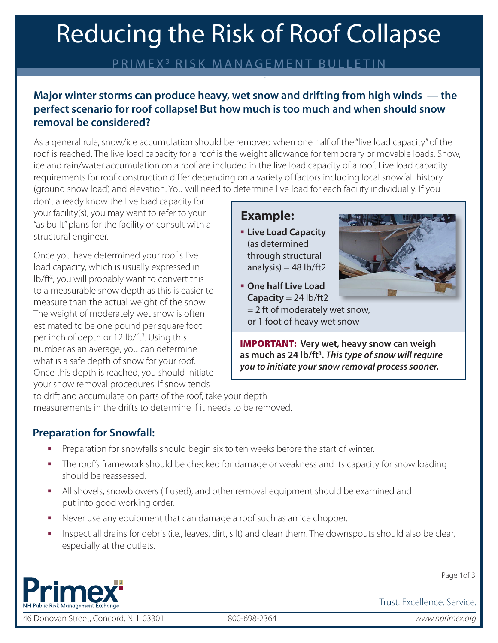# Reducing the Risk of Roof Collapse

## PRIMEX 3 RISK MANAGEMENT BULLETIN

## **Major winter storms can produce heavy, wet snow and drifting from high winds — the perfect scenario for roof collapse! But how much is too much and when should snow removal be considered?**

As a general rule, snow/ice accumulation should be removed when one half of the "live load capacity" of the roof is reached. The live load capacity for a roof is the weight allowance for temporary or movable loads. Snow, ice and rain/water accumulation on a roof are included in the live load capacity of a roof. Live load capacity requirements for roof construction differ depending on a variety of factors including local snowfall history (ground snow load) and elevation. You will need to determine live load for each facility individually. If you

don't already know the live load capacity for your facility(s), you may want to refer to your "as built" plans for the facility or consult with a structural engineer.

Once you have determined your roof's live load capacity, which is usually expressed in lb/ft<sup>2</sup>, you will probably want to convert this to a measurable snow depth as this is easier to measure than the actual weight of the snow. The weight of moderately wet snow is often estimated to be one pound per square foot per inch of depth or 12 lb/ft<sup>3</sup>. Using this number as an average, you can determine what is a safe depth of snow for your roof. Once this depth is reached, you should initiate your snow removal procedures. If snow tends

## **Example:**

§ **Live Load Capacity** (as determined through structural analysis) =  $48$  lb/ft2



- § **One half Live Load Capacity** = 24 lb/ft2 = 2 ft of moderately wet snow,
- or 1 foot of heavy wet snow

IMPORTANT: **Very wet, heavy snow can weigh as much as 24 lb/ft3 .** *This type of snow will require you to initiate your snow removal process sooner.*

to drift and accumulate on parts of the roof, take your depth measurements in the drifts to determine if it needs to be removed.

## **Preparation for Snowfall:**

- Preparation for snowfalls should begin six to ten weeks before the start of winter.
- The roof's framework should be checked for damage or weakness and its capacity for snow loading should be reassessed.
- **•** All shovels, snowblowers (if used), and other removal equipment should be examined and put into good working order.
- Never use any equipment that can damage a roof such as an ice chopper.
- § Inspect all drains for debris (i.e., leaves, dirt, silt) and clean them. The downspouts should also be clear, especially at the outlets.



46 Donovan Street, Concord, NH 03301 800-698-2364 *www.nprimex.org*

Page 1of 3

Trust. Excellence. Service.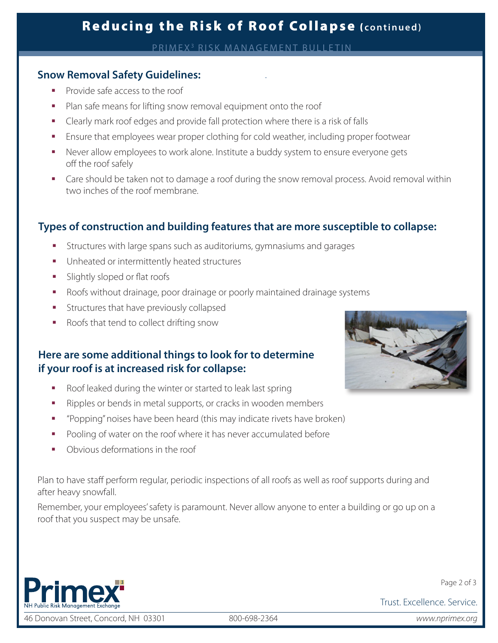# Reducing the Risk of Roof Collapse ( **continued)**

PRIMEX3 RISK MANAGEMENT BULLETIN

#### **Snow Removal Safety Guidelines:**

- § Provide safe access to the roof
- Plan safe means for lifting snow removal equipment onto the roof
- § Clearly mark roof edges and provide fall protection where there is a risk of falls
- **■** Ensure that employees wear proper clothing for cold weather, including proper footwear
- Never allow employees to work alone. Institute a buddy system to ensure everyone gets off the roof safely
- Care should be taken not to damage a roof during the snow removal process. Avoid removal within two inches of the roof membrane.

### **Types of construction and building features that are more susceptible to collapse:**

- Structures with large spans such as auditoriums, gymnasiums and garages
- § Unheated or intermittently heated structures
- § Slightly sloped or flat roofs
- § Roofs without drainage, poor drainage or poorly maintained drainage systems
- **•** Structures that have previously collapsed
- § Roofs that tend to collect drifting snow

### **Here are some additional things to look for to determine if your roof is at increased risk for collapse:**

- Roof leaked during the winter or started to leak last spring
- Ripples or bends in metal supports, or cracks in wooden members
- § "Popping" noises have been heard (this may indicate rivets have broken)
- Pooling of water on the roof where it has never accumulated before
- § Obvious deformations in the roof

Plan to have staff perform regular, periodic inspections of all roofs as well as roof supports during and after heavy snowfall.

Remember, your employees' safety is paramount. Never allow anyone to enter a building or go up on a roof that you suspect may be unsafe.



46 Donovan Street, Concord, NH 03301 800-698-2364 *www.nprimex.org*



Page 2 of 3

Trust. Excellence. Service.